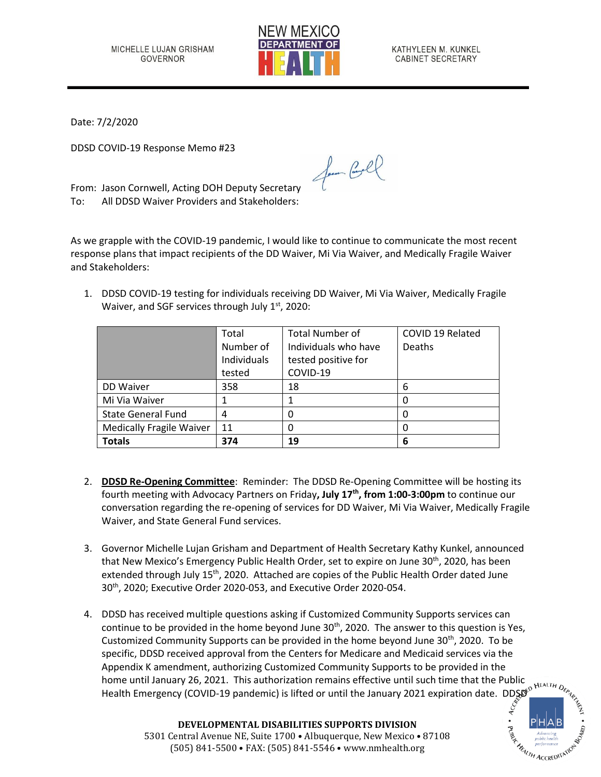

KATHYLEEN M. KUNKEL CABINET SECRETARY

Date: 7/2/2020

DDSD COVID-19 Response Memo #23

From: Jason Cornwell, Acting DOH Deputy Secretary To: All DDSD Waiver Providers and Stakeholders:

As we grapple with the COVID-19 pandemic, I would like to continue to communicate the most recent response plans that impact recipients of the DD Waiver, Mi Via Waiver, and Medically Fragile Waiver and Stakeholders:

Jan Cool

1. DDSD COVID-19 testing for individuals receiving DD Waiver, Mi Via Waiver, Medically Fragile Waiver, and SGF services through July  $1<sup>st</sup>$ , 2020:

|                                 | Total       | <b>Total Number of</b> | COVID 19 Related |
|---------------------------------|-------------|------------------------|------------------|
|                                 | Number of   | Individuals who have   | <b>Deaths</b>    |
|                                 | Individuals | tested positive for    |                  |
|                                 | tested      | COVID-19               |                  |
| DD Waiver                       | 358         | 18                     | 6                |
| Mi Via Waiver                   |             |                        |                  |
| <b>State General Fund</b>       | 4           |                        |                  |
| <b>Medically Fragile Waiver</b> | 11          | 0                      |                  |
| <b>Totals</b>                   | 374         | 19                     | 6                |

- 2. **DDSD Re-Opening Committee**: Reminder: The DDSD Re-Opening Committee will be hosting its fourth meeting with Advocacy Partners on Friday**, July 17 th , from 1:00-3:00pm** to continue our conversation regarding the re-opening of services for DD Waiver, Mi Via Waiver, Medically Fragile Waiver, and State General Fund services.
- 3. Governor Michelle Lujan Grisham and Department of Health Secretary Kathy Kunkel, announced that New Mexico's Emergency Public Health Order, set to expire on June 30<sup>th</sup>, 2020, has been extended through July  $15<sup>th</sup>$ , 2020. Attached are copies of the Public Health Order dated June 30<sup>th</sup>, 2020; Executive Order 2020-053, and Executive Order 2020-054.
- 4. DDSD has received multiple questions asking if Customized Community Supports services can continue to be provided in the home beyond June 30<sup>th</sup>, 2020. The answer to this question is Yes, Customized Community Supports can be provided in the home beyond June  $30<sup>th</sup>$ , 2020. To be specific, DDSD received approval from the Centers for Medicare and Medicaid services via the Appendix K amendment, authorizing Customized Community Supports to be provided in the home until January 26, 2021. This authorization remains effective until such time that the Public Health Emergency (COVID-19 pandemic) is lifted or until the January 2021 expiration date. DDSD<sup>o HEALTH</sup> Dex<br>
and the January 2021 expiration date. DDSD<sup>o</sup>



**DEVELOPMENTAL DISABILITIES SUPPORTS DIVISION** 5301 Central Avenue NE, Suite 1700 • Albuquerque, New Mexico • 87108 (505) 841-5500 • FAX: (505) 841-5546 • www.nmhealth.org